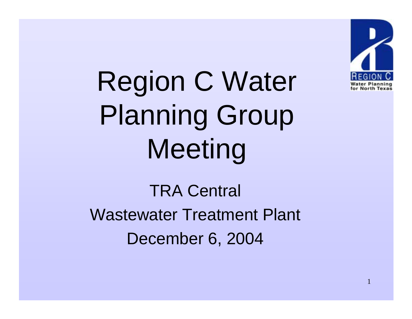

Region C Water Planning Group Meeting

TRA Central Wastewater Treatment Plant December 6, 2004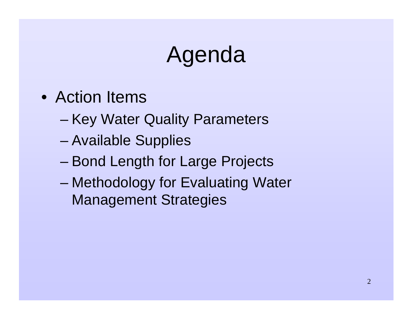# Agenda

- Action Items
	- –Key Water Quality Parameters
	- –Available Supplies
	- –Bond Length for Large Projects
	- – Methodology for Evaluating Water Management Strategies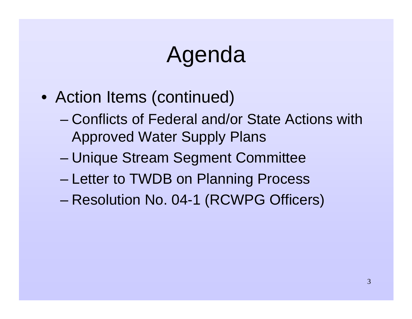# Agenda

- Action Items (continued)
	- Conflicts of Federal and/or State Actions with Approved Water Supply Plans
	- –Unique Stream Segment Committee
	- –Letter to TWDB on Planning Process
	- Resolution No. 04-1 (RCWPG Officers)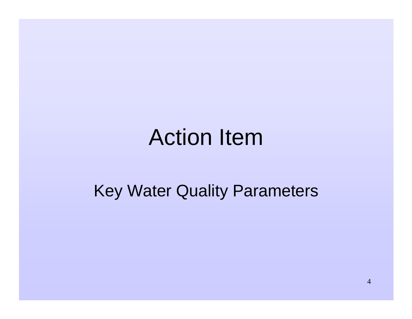#### Action Item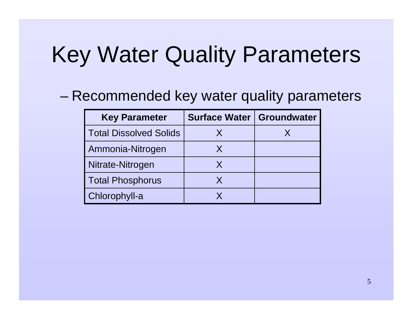–Recommended key water quality parameters

| <b>Key Parameter</b>          | Surface Water   Groundwater |  |
|-------------------------------|-----------------------------|--|
| <b>Total Dissolved Solids</b> | X                           |  |
| Ammonia-Nitrogen              | X                           |  |
| Nitrate-Nitrogen              | X                           |  |
| <b>Total Phosphorus</b>       | X                           |  |
| Chlorophyll-a                 |                             |  |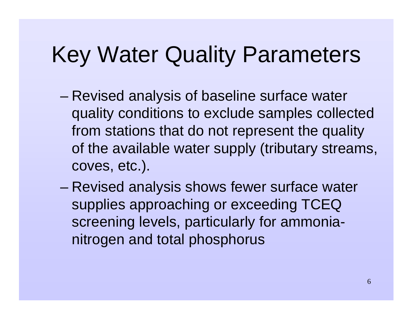- – Revised analysis of baseline surface water quality conditions to exclude samples collected from stations that do not represent the quality of the available water supply (tributary streams, coves, etc.).
- – Revised analysis shows fewer surface water supplies approaching or exceeding TCEQ screening levels, particularly for ammonianitrogen and total phosphorus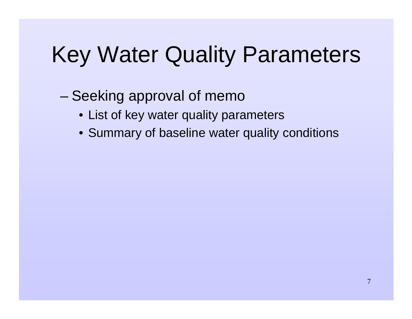- – Seeking approval of memo
	- List of key water quality parameters
	- Summary of baseline water quality conditions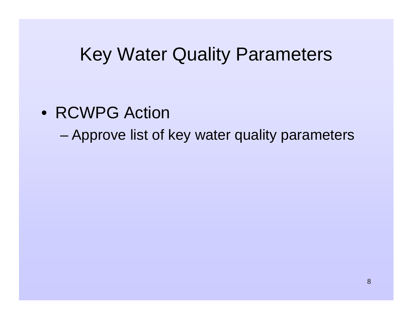- RCWPG Action
	- –Approve list of key water quality parameters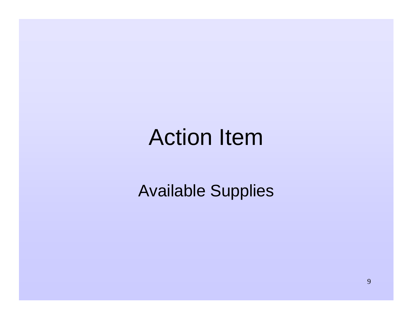#### Action Item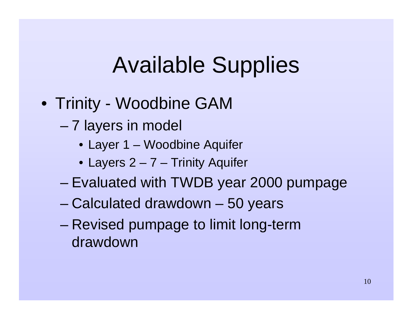- Trinity Woodbine GAM
	- – 7 layers in model
		- Layer 1 Woodbine Aquifer
		- Layers 2 7 Trinity Aquifer
	- –Evaluated with TWDB year 2000 pumpage
	- –Calculated drawdown – 50 years
	- – Revised pumpage to limit long-term drawdown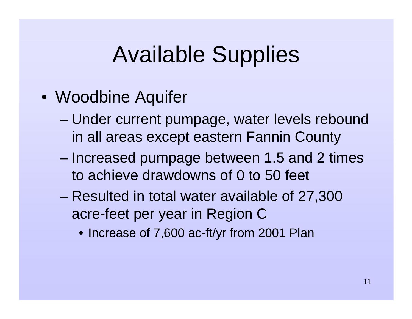- Woodbine Aquifer
	- – Under current pumpage, water levels rebound in all areas except eastern Fannin County
	- – Increased pumpage between 1.5 and 2 times to achieve drawdowns of 0 to 50 feet
	- Resulted in total water available of 27,300 acre-feet per year in Region C
		- Increase of 7,600 ac-ft/yr from 2001 Plan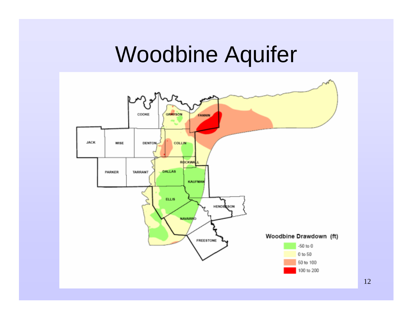#### Woodbine Aquifer

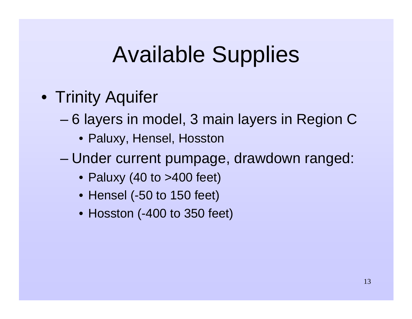- Trinity Aquifer
	- – 6 layers in model, 3 main layers in Region C
		- Paluxy, Hensel, Hosston
	- – Under current pumpage, drawdown ranged:
		- Paluxy (40 to >400 feet)
		- Hensel (-50 to 150 feet)
		- Hosston (-400 to 350 feet)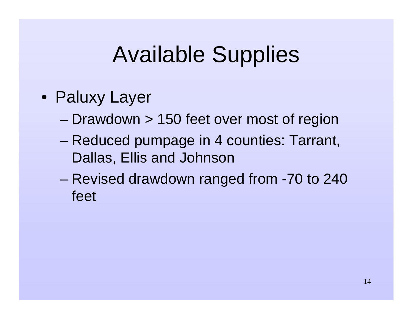- Paluxy Layer
	- –Drawdown > 150 feet over most of region
	- – Reduced pumpage in 4 counties: Tarrant, Dallas, Ellis and Johnson
	- – Revised drawdown ranged from -70 to 240 feet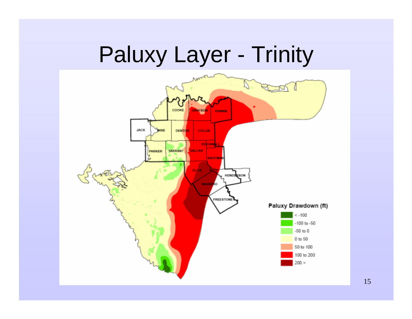## Paluxy Layer - Trinity

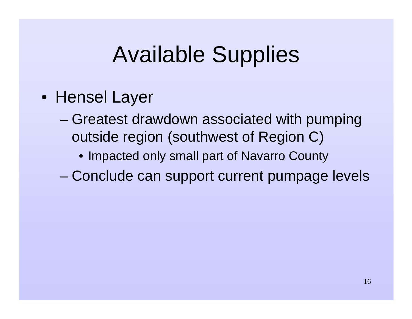- Hensel Layer
	- – Greatest drawdown associated with pumping outside region (southwest of Region C)
		- Impacted only small part of Navarro County
	- –Conclude can support current pumpage levels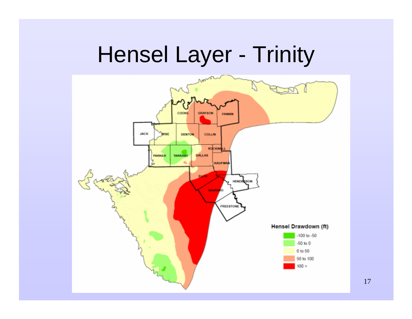# Hensel Layer - Trinity



17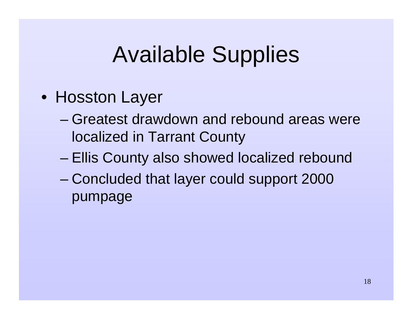- Hosston Layer
	- Greatest drawdown and rebound areas were localized in Tarrant County
	- –Ellis County also showed localized rebound
	- – Concluded that layer could support 2000 pumpage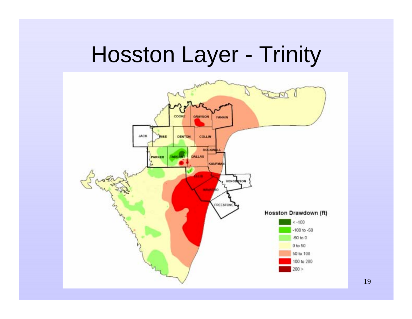## Hosston Layer - Trinity



19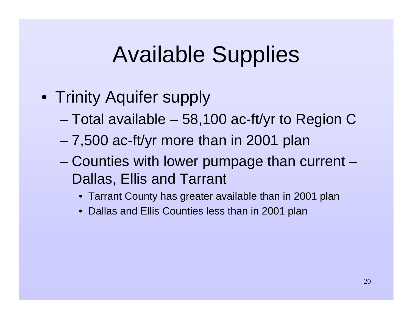- Trinity Aquifer supply
	- –Total available – 58,100 ac-ft/yr to Region C
	- –7,500 ac-ft/yr more than in 2001 plan
	- – Counties with lower pumpage than current – Dallas, Ellis and Tarrant
		- Tarrant County has greater available than in 2001 plan
		- Dallas and Ellis Counties less than in 2001 plan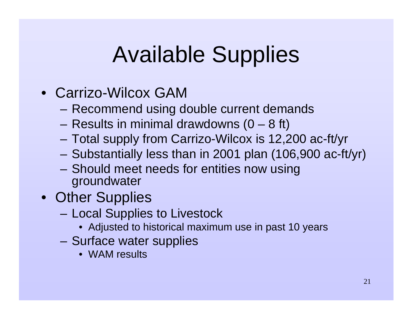- Carrizo-Wilcox GAM
	- Recommend using double current demands
	- Results in minimal drawdowns  $(0 8$  ft)
	- Total supply from Carrizo-Wilcox is 12,200 ac-ft/yr
	- Substantially less than in 2001 plan (106,900 ac-ft/yr)
	- Should meet needs for entities now using groundwater
- Other Supplies
	- Local Supplies to Livestock
		- Adjusted to historical maximum use in past 10 years
	- – Surface water supplies
		- WAM results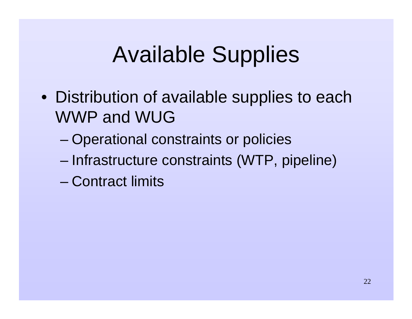- Distribution of available supplies to each WWP and WUG
	- –Operational constraints or policies
	- –Infrastructure constraints (WTP, pipeline)
	- Contract limits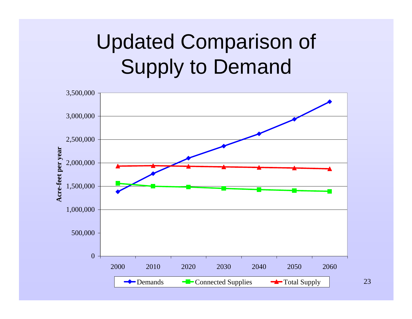#### Updated Comparison of Supply to Demand

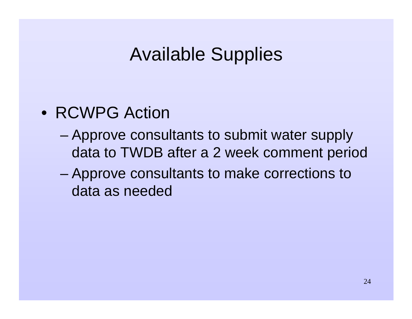- RCWPG Action
	- – Approve consultants to submit water supply data to TWDB after a 2 week comment period
	- – Approve consultants to make corrections to data as needed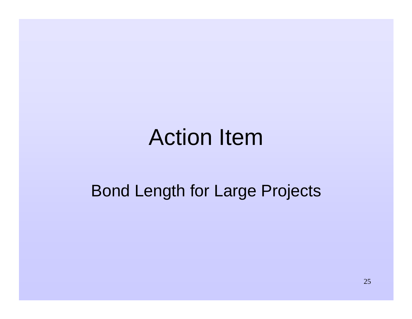#### Action Item

#### Bond Length for Large Projects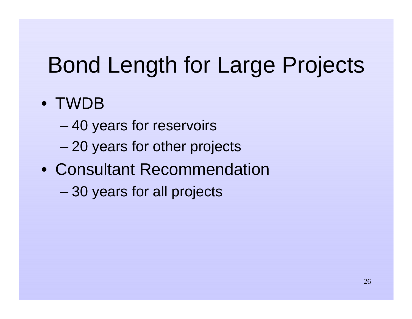# Bond Length for Large Projects

#### • TWDB

- –40 years for reservoirs
- –20 years for other projects
- Consultant Recommendation
	- –30 years for all projects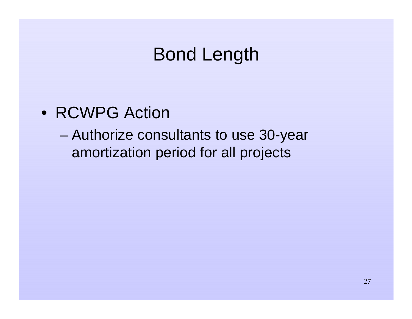#### Bond Length

- RCWPG Action
	- – Authorize consultants to use 30-year amortization period for all projects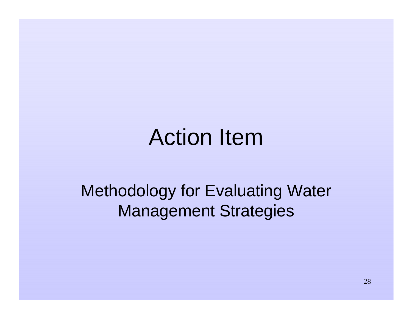#### Action Item

Methodology for Evaluating Water Management Strategies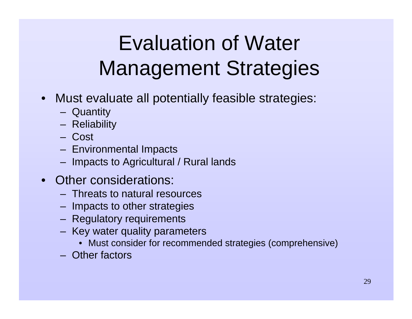- Must evaluate all potentially feasible strategies:
	- Quantity
	- Reliability
	- Cost
	- Environmental Impacts
	- Impacts to Agricultural / Rural lands
- • Other considerations:
	- Threats to natural resources
	- Impacts to other strategies
	- Regulatory requirements
	- Key water quality parameters
		- Must consider for recommended strategies (comprehensive)
	- Other factors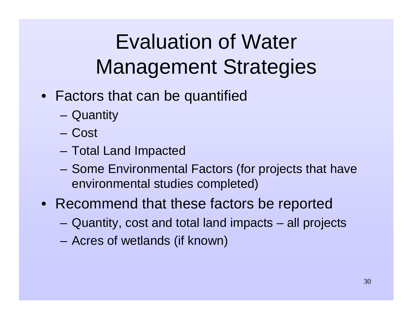- Factors that can be quantified
	- Quantity
	- Cost
	- Total Land Impacted
	- Some Environmental Factors (for projects that have environmental studies completed)
- Recommend that these factors be reported
	- Quantity, cost and total land impacts all projects
	- Acres of wetlands (if known)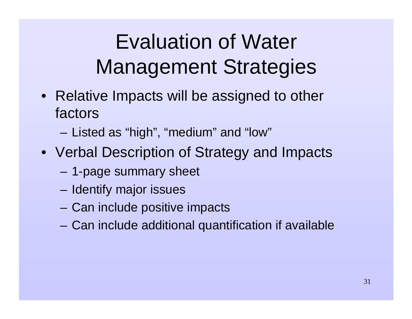- Relative Impacts will be assigned to other factors
	- Listed as "high", "medium" and "low"
- Verbal Description of Strategy and Impacts
	- 1-page summary sheet
	- Identify major issues
	- Can include positive impacts
	- Can include additional quantification if available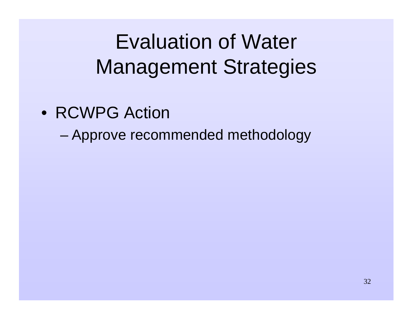- RCWPG Action
	- –Approve recommended methodology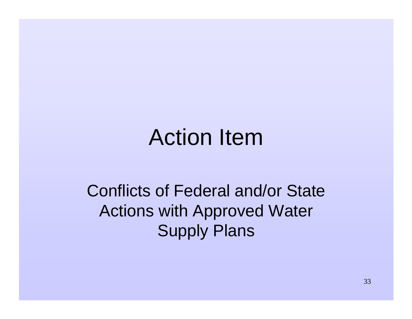#### Action Item

Conflicts of Federal and/or State Actions with Approved Water Supply Plans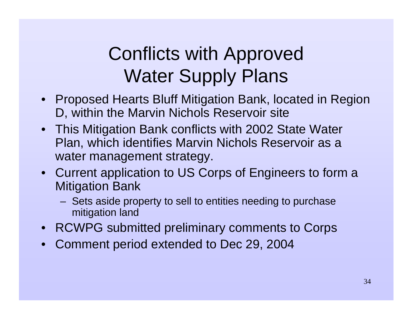#### Conflicts with Approved Water Supply Plans

- Proposed Hearts Bluff Mitigation Bank, located in Region D, within the Marvin Nichols Reservoir site
- This Mitigation Bank conflicts with 2002 State Water Plan, which identifies Marvin Nichols Reservoir as a water management strategy.
- Current application to US Corps of Engineers to form a Mitigation Bank
	- Sets aside property to sell to entities needing to purchase mitigation land
- RCWPG submitted preliminary comments to Corps
- $\bullet$ Comment period extended to Dec 29, 2004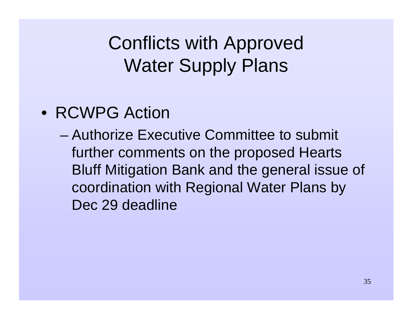Conflicts with Approved Water Supply Plans

- RCWPG Action
	- Authorize Executive Committee to submit further comments on the proposed Hearts Bluff Mitigation Bank and the general issue of coordination with Regional Water Plans by Dec 29 deadline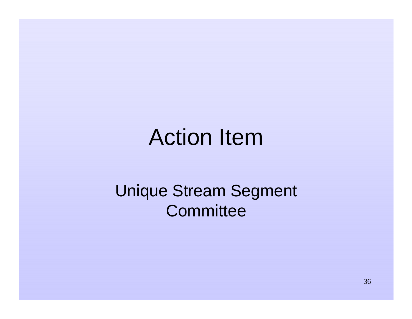#### Action Item

#### Unique Stream Segment **Committee**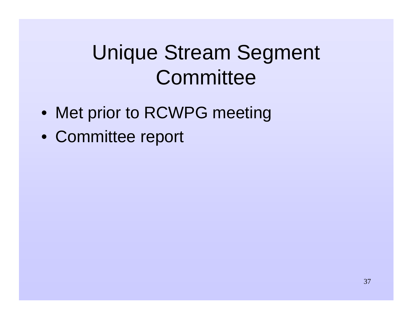### Unique Stream Segment **Committee**

- Met prior to RCWPG meeting
- Committee report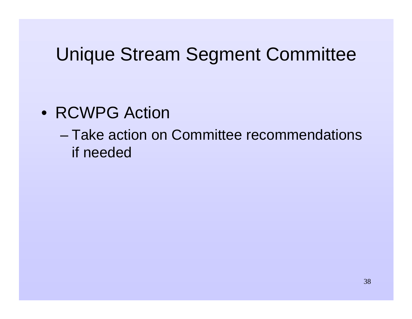#### Unique Stream Segment Committee

- RCWPG Action
	- Take action on Committee recommendations if needed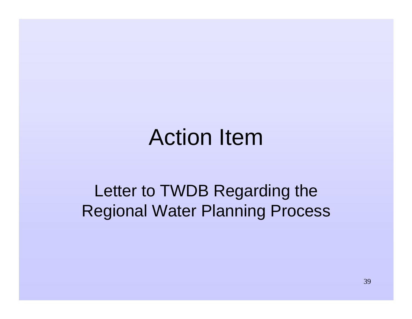### Action Item

#### Letter to TWDB Regarding the Regional Water Planning Process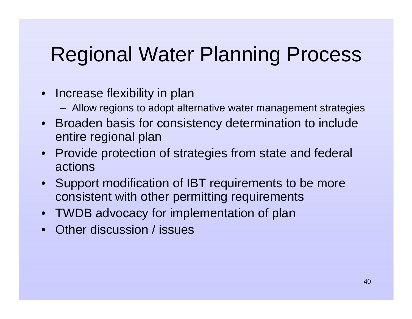#### Regional Water Planning Process

- Increase flexibility in plan
	- Allow regions to adopt alternative water management strategies
- • Broaden basis for consistency determination to include entire regional plan
- • Provide protection of strategies from state and federal actions
- $\bullet$  Support modification of IBT requirements to be more consistent with other permitting requirements
- TWDB advocacy for implementation of plan
- •Other discussion / issues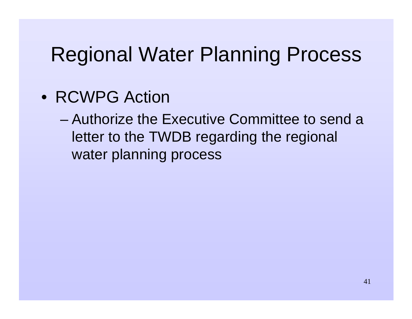#### Regional Water Planning Process

- RCWPG Action
	- Authorize the Executive Committee to send a letter to the TWDB regarding the regional water planning process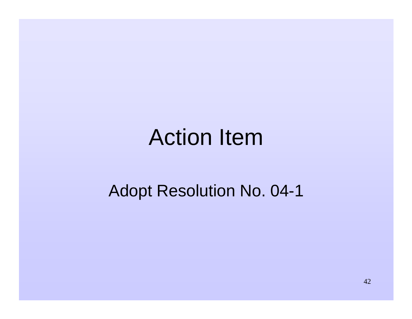### Action Item

#### Adopt Resolution No. 04-1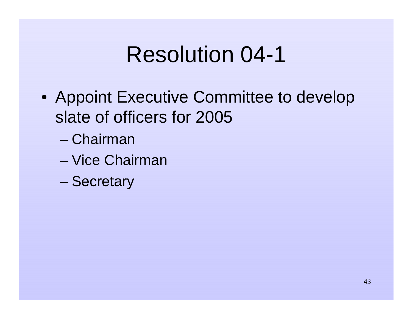### Resolution 04-1

- Appoint Executive Committee to develop slate of officers for 2005
	- Chairman
	- Vice Chairman
	- –**Secretary**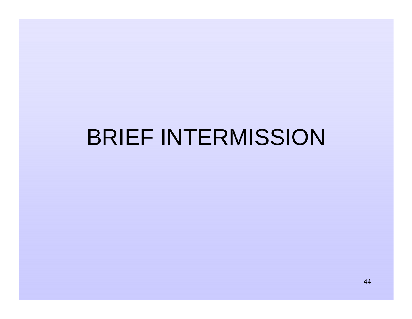## BRIEF INTERMISSION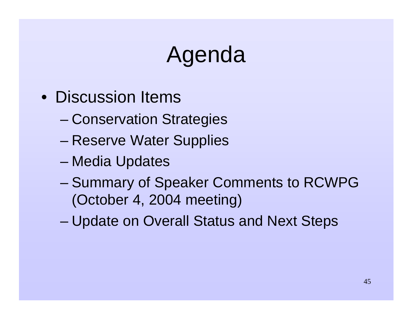## Agenda

- Discussion Items
	- –Conservation Strategies
	- –Reserve Water Supplies
	- –Media Updates
	- – Summary of Speaker Comments to RCWPG (October 4, 2004 meeting)
	- Update on Overall Status and Next Steps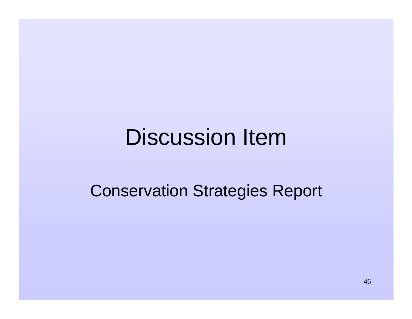### Discussion Item

#### Conservation Strategies Report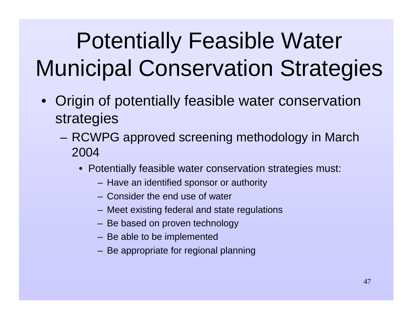- Origin of potentially feasible water conservation strategies
	- RCWPG approved screening methodology in March 2004
		- Potentially feasible water conservation strategies must:
			- Have an identified sponsor or authority
			- Consider the end use of water
			- Meet existing federal and state regulations
			- Be based on proven technology
			- Be able to be implemented
			- Be appropriate for regional planning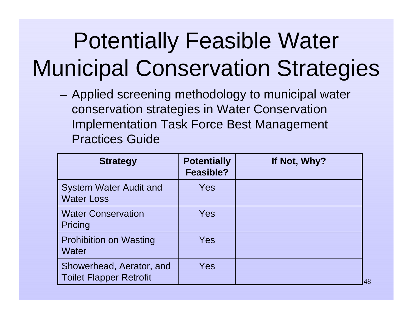– Applied screening methodology to municipal water conservation strategies in Water Conservation Implementation Task Force Best Management Practices Guide

| <b>Strategy</b>                                            | <b>Potentially</b><br><b>Feasible?</b> | If Not, Why? |
|------------------------------------------------------------|----------------------------------------|--------------|
| <b>System Water Audit and</b><br><b>Water Loss</b>         | Yes                                    |              |
| <b>Water Conservation</b><br>Pricing                       | Yes                                    |              |
| <b>Prohibition on Wasting</b><br>Water                     | Yes                                    |              |
| Showerhead, Aerator, and<br><b>Toilet Flapper Retrofit</b> | Yes                                    | 48           |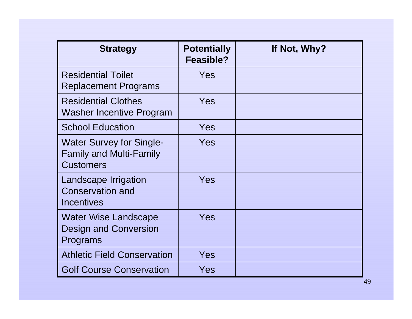| <b>Strategy</b>                                                                       | <b>Potentially</b><br>Feasible? | If Not, Why? |
|---------------------------------------------------------------------------------------|---------------------------------|--------------|
| <b>Residential Toilet</b><br><b>Replacement Programs</b>                              | Yes                             |              |
| <b>Residential Clothes</b><br><b>Washer Incentive Program</b>                         | Yes                             |              |
| <b>School Education</b>                                                               | Yes                             |              |
| <b>Water Survey for Single-</b><br><b>Family and Multi-Family</b><br><b>Customers</b> | Yes                             |              |
| Landscape Irrigation<br><b>Conservation and</b><br><b>Incentives</b>                  | Yes                             |              |
| <b>Water Wise Landscape</b><br><b>Design and Conversion</b><br>Programs               | Yes                             |              |
| <b>Athletic Field Conservation</b>                                                    | Yes                             |              |
| <b>Golf Course Conservation</b>                                                       | Yes                             |              |

49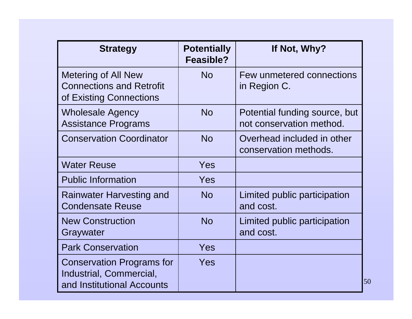| <b>Strategy</b>                                                                           | <b>Potentially</b><br>Feasible? | If Not, Why?                                              |
|-------------------------------------------------------------------------------------------|---------------------------------|-----------------------------------------------------------|
| <b>Metering of All New</b><br><b>Connections and Retrofit</b><br>of Existing Connections  | <b>No</b>                       | Few unmetered connections<br>in Region C.                 |
| <b>Wholesale Agency</b><br><b>Assistance Programs</b>                                     | <b>No</b>                       | Potential funding source, but<br>not conservation method. |
| <b>Conservation Coordinator</b>                                                           | <b>No</b>                       | Overhead included in other<br>conservation methods.       |
| <b>Water Reuse</b>                                                                        | Yes                             |                                                           |
| <b>Public Information</b>                                                                 | Yes                             |                                                           |
| Rainwater Harvesting and<br><b>Condensate Reuse</b>                                       | <b>No</b>                       | Limited public participation<br>and cost.                 |
| <b>New Construction</b><br>Graywater                                                      | <b>No</b>                       | Limited public participation<br>and cost.                 |
| <b>Park Conservation</b>                                                                  | Yes                             |                                                           |
| <b>Conservation Programs for</b><br>Industrial, Commercial,<br>and Institutional Accounts | Yes                             |                                                           |

50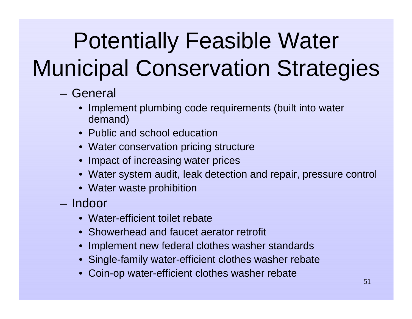- General
	- • Implement plumbing code requirements (built into water demand)
	- Public and school education
	- Water conservation pricing structure
	- Impact of increasing water prices
	- Water system audit, leak detection and repair, pressure control
	- Water waste prohibition
- Indoor
	- Water-efficient toilet rebate
	- Showerhead and faucet aerator retrofit
	- Implement new federal clothes washer standards
	- Single-family water-efficient clothes washer rebate
	- •Coin-op water-efficient clothes washer rebate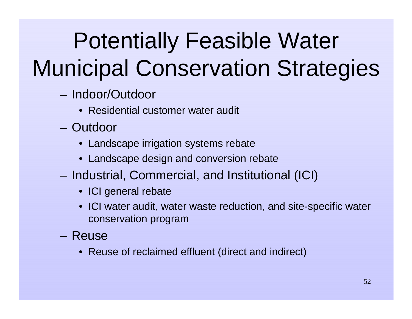- Indoor/Outdoor
	- Residential customer water audit
- Outdoor
	- Landscape irrigation systems rebate
	- Landscape design and conversion rebate
- – Industrial, Commercial, and Institutional (ICI)
	- ICI general rebate
	- ICI water audit, water waste reduction, and site-specific water conservation program
- Reuse
	- Reuse of reclaimed effluent (direct and indirect)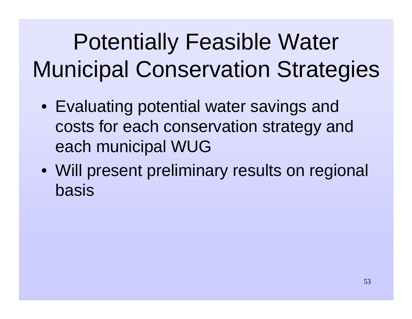- Evaluating potential water savings and costs for each conservation strategy and each municipal WUG
- Will present preliminary results on regional basis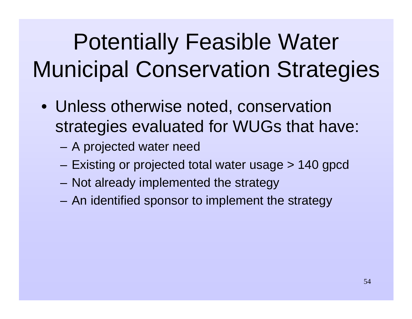- Unless otherwise noted, conservation strategies evaluated for WUGs that have:
	- –A projected water need
	- –Existing or projected total water usage > 140 gpcd
	- –Not already implemented the strategy
	- –An identified sponsor to implement the strategy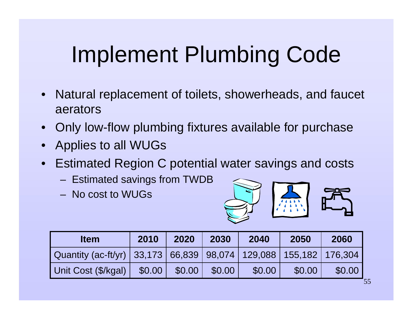## Implement Plumbing Code

- $\bullet$  Natural replacement of toilets, showerheads, and faucet aerators
- •Only low-flow plumbing fixtures available for purchase
- •Applies to all WUGs
- $\bullet$  Estimated Region C potential water savings and costs
	- Estimated savings from TWDB
	- No cost to WUGs



| <b>Item</b>                                                      | 2010   | 2020   | 2030   | 2040   | 2050   | 2060   |
|------------------------------------------------------------------|--------|--------|--------|--------|--------|--------|
| Quantity (ac-ft/yr) 33,173 66,839 98,074 129,088 155,182 176,304 |        |        |        |        |        |        |
| Unit Cost (\$/kgal)                                              | \$0.00 | \$0.00 | \$0.00 | \$0.00 | \$0.00 | \$0.00 |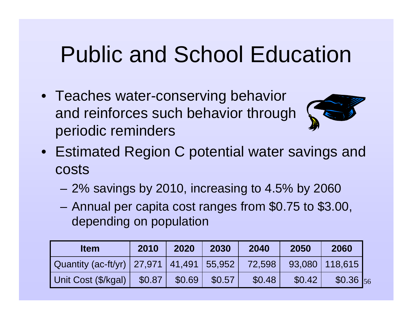## Public and School Education

• Teaches water-conserving behavior and reinforces such behavior through periodic reminders



- Estimated Region C potential water savings and costs
	- –2% savings by 2010, increasing to 4.5% by 2060
	- – Annual per capita cost ranges from \$0.75 to \$3.00, depending on population

| <b>Item</b>                                    | 2010   | 2020   | 2030   | 2040   | 2050   | 2060             |  |
|------------------------------------------------|--------|--------|--------|--------|--------|------------------|--|
| Quantity (ac-ft/yr)   27,971   41,491   55,952 |        |        |        | 72,598 |        | 93,080   118,615 |  |
| Unit Cost (\$/kgal)                            | \$0.87 | \$0.69 | \$0.57 | \$0.48 | \$0.42 | $$0.36$ 56       |  |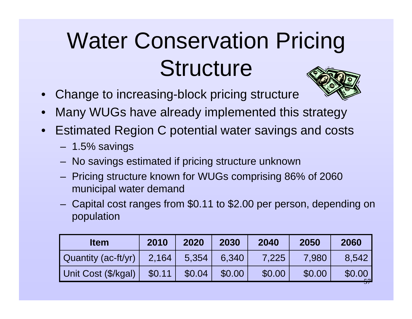# Water Conservation Pricing **Structure**

 $\bullet$ Change to increasing-block pricing structure



- •Many WUGs have already implemented this strategy
- $\bullet$  Estimated Region C potential water savings and costs
	- 1.5% savings
	- No savings estimated if pricing structure unknown
	- Pricing structure known for WUGs comprising 86% of 2060 municipal water demand
	- Capital cost ranges from \$0.11 to \$2.00 per person, depending on population

| <b>Item</b>         | 2010   | 2020   | 2030   | 2040   | 2050   | 2060   |
|---------------------|--------|--------|--------|--------|--------|--------|
| Quantity (ac-ft/yr) | 2,164  | 5,354  | 6.340  | 7,225  | 7,980  | 8.542  |
| Unit Cost (\$/kgal) | \$0.11 | \$0.04 | \$0.00 | \$0.00 | \$0.00 | \$0.00 |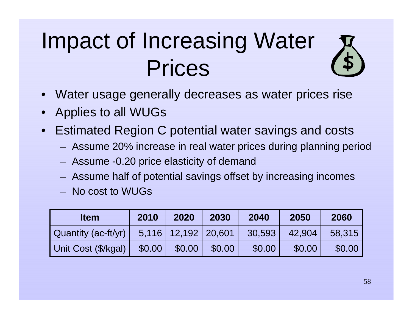## Impact of Increasing Water Prices



- •Applies to all WUGs
- $\bullet$  Estimated Region C potential water savings and costs
	- Assume 20% increase in real water prices during planning period
	- Assume -0.20 price elasticity of demand
	- Assume half of potential savings offset by increasing incomes
	- No cost to WUGs

| <b>Item</b>         | 2010   | 2020                      | 2030   | 2040   | 2050   | 2060   |
|---------------------|--------|---------------------------|--------|--------|--------|--------|
| Quantity (ac-ft/yr) |        | $5,116$   12,192   20,601 |        | 30,593 | 42.904 | 58,315 |
| Unit Cost (\$/kgal) | \$0.00 | \$0.00                    | \$0.00 | \$0.00 | \$0.00 | \$0.00 |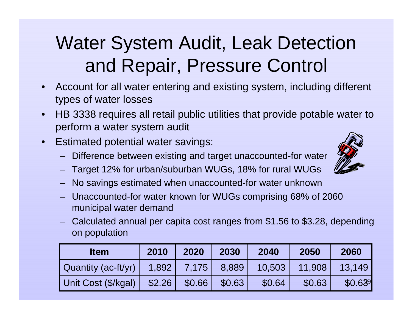#### Water System Audit, Leak Detection and Repair, Pressure Control

- • Account for all water entering and existing system, including different types of water losses
- • HB 3338 requires all retail public utilities that provide potable water to perform a water system audit
- • Estimated potential water savings:
	- Difference between existing and target unaccounted-for water
	- Target 12% for urban/suburban WUGs, 18% for rural WUGs
	- No savings estimated when unaccounted-for water unknown
	- Unaccounted-for water known for WUGs comprising 68% of 2060 municipal water demand
	- – Calculated annual per capita cost ranges from \$1.56 to \$3.28, depending on population

| <b>Item</b>         | 2010   | 2020   | 2030   | 2040   | 2050   | 2060    |
|---------------------|--------|--------|--------|--------|--------|---------|
| Quantity (ac-ft/yr) | 1,892  | 7.175V | 8,889  | 10,503 | 11.908 | 13.149  |
| Unit Cost (\$/kgal) | \$2.26 | \$0.66 | \$0.63 | \$0.64 | \$0.63 | \$0.639 |

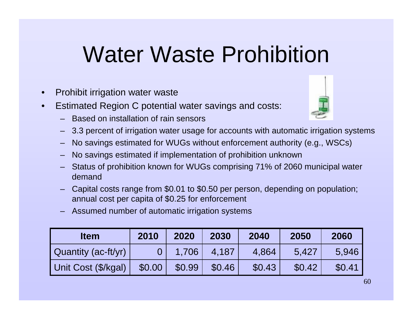## Water Waste Prohibition

- •Prohibit irrigation water waste
- • Estimated Region C potential water savings and costs:
	- Based on installation of rain sensors



- 3.3 percent of irrigation water usage for accounts with automatic irrigation systems
- No savings estimated for WUGs without enforcement authority (e.g., WSCs)
- No savings estimated if implementation of prohibition unknown
- Status of prohibition known for WUGs comprising 71% of 2060 municipal water demand
- Capital costs range from \$0.01 to \$0.50 per person, depending on population; annual cost per capita of \$0.25 for enforcement
- Assumed number of automatic irrigation systems

| <b>Item</b>         | 2010   | 2020   | 2030   | 2040   | 2050   | 2060   |
|---------------------|--------|--------|--------|--------|--------|--------|
| Quantity (ac-ft/yr) |        | 1.706  | 4.187  | 4,864  | 5.427  | 5.946  |
| Unit Cost (\$/kgal) | \$0.00 | \$0.99 | \$0.46 | \$0.43 | \$0.42 | \$0.41 |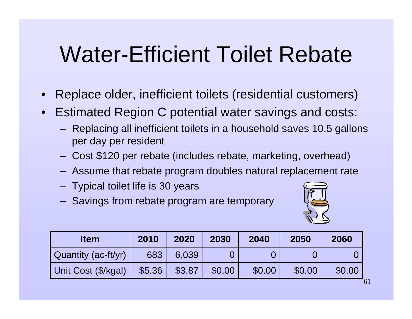## Water-Efficient Toilet Rebate

- $\bullet$ Replace older, inefficient toilets (residential customers)
- • Estimated Region C potential water savings and costs:
	- Replacing all inefficient toilets in a household saves 10.5 gallons per day per resident
	- Cost \$120 per rebate (includes rebate, marketing, overhead)
	- Assume that rebate program doubles natural replacement rate
	- Typical toilet life is 30 years
	- Savings from rebate program are temporary



| <b>Item</b>         | 2010   | 2020   | 2030   | 2040   | 2050   | 2060   |
|---------------------|--------|--------|--------|--------|--------|--------|
| Quantity (ac-ft/yr) | 683    | 6.039  |        |        |        |        |
| Unit Cost (\$/kgal) | \$5.36 | \$3.87 | \$0.00 | \$0.00 | \$0.00 | \$0.00 |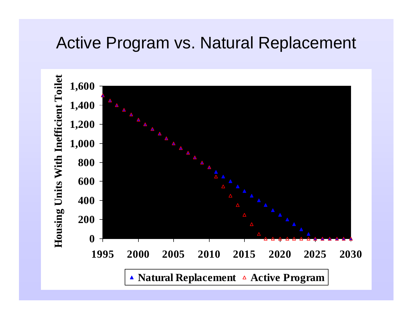#### Active Program vs. Natural Replacement

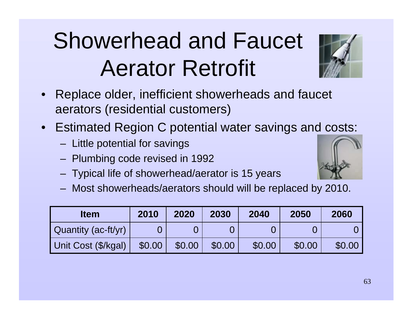## Showerhead and Faucet Aerator Retrofit

- $\bullet$  Replace older, inefficient showerheads and faucet aerators (residential customers)
- • Estimated Region C potential water savings and costs:
	- Little potential for savings
	- Plumbing code revised in 1992
	- Typical life of showerhead/aerator is 15 years
	- Most showerheads/aerators should will be replaced by 2010.

| <b>Item</b>         | 2010   | 2020   | 2030   | 2040   | 2050   | 2060   |
|---------------------|--------|--------|--------|--------|--------|--------|
| Quantity (ac-ft/yr) |        |        |        |        |        |        |
| Unit Cost (\$/kgal) | \$0.00 | \$0.00 | \$0.00 | \$0.00 | \$0.00 | \$0.00 |



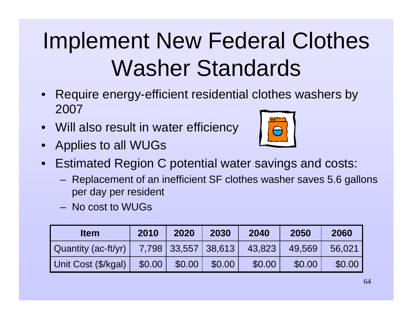## Implement New Federal Clothes Washer Standards

- $\bullet$  Require energy-efficient residential clothes washers by 2007
- •Will also result in water efficiency
- •Applies to all WUGs



- $\bullet$  Estimated Region C potential water savings and costs:
	- Replacement of an inefficient SF clothes washer saves 5.6 gallons per day per resident
	- No cost to WUGs

| <b>Item</b>         | 2010   | 2020   | 2030                | 2040   | 2050   | 2060   |
|---------------------|--------|--------|---------------------|--------|--------|--------|
| Quantity (ac-ft/yr) |        |        | 7,798 33,557 38,613 | 43,823 | 49.569 | 56,021 |
| Unit Cost (\$/kgal) | \$0.00 | \$0.00 | \$0.00              | \$0.00 | \$0.00 | \$0.00 |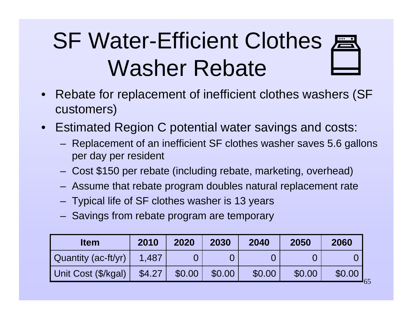## **SF Water-Efficient Clothes ER** Washer Rebate

- $\bullet$  Rebate for replacement of inefficient clothes washers (SF customers)
- • Estimated Region C potential water savings and costs:
	- Replacement of an inefficient SF clothes washer saves 5.6 gallons per day per resident
	- Cost \$150 per rebate (including rebate, marketing, overhead)
	- Assume that rebate program doubles natural replacement rate
	- Typical life of SF clothes washer is 13 years
	- Savings from rebate program are temporary

| <b>Item</b>         | 2010   | 2020   | 2030   | 2040   | 2050   | 2060   |
|---------------------|--------|--------|--------|--------|--------|--------|
| Quantity (ac-ft/yr) | 1.487  |        |        |        |        |        |
| Unit Cost (\$/kgal) | \$4.27 | \$0.00 | \$0.00 | \$0.00 | \$0.00 | \$0.00 |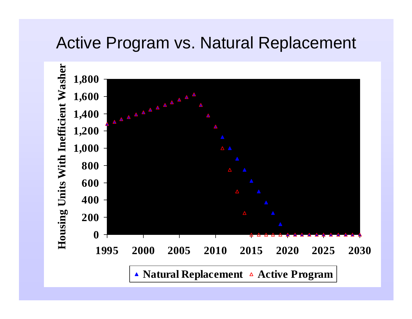#### Active Program vs. Natural Replacement

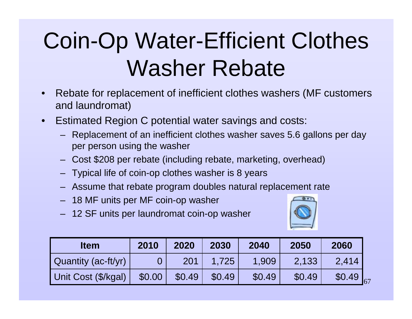## Coin-Op Water-Efficient Clothes Washer Rebate

- • Rebate for replacement of inefficient clothes washers (MF customers and laundromat)
- • Estimated Region C potential water savings and costs:
	- Replacement of an inefficient clothes washer saves 5.6 gallons per day per person using the washer
	- –Cost \$208 per rebate (including rebate, marketing, overhead)
	- Typical life of coin-op clothes washer is 8 years
	- Assume that rebate program doubles natural replacement rate
	- 18 MF units per MF coin-op washer
	- 12 SF units per laundromat coin-op washer



| Item                | 2010   | 2020   | 2030   | 2040   | 2050   | 2060                  |
|---------------------|--------|--------|--------|--------|--------|-----------------------|
| Quantity (ac-ft/yr) |        | 201    | 1.725  | 1,909  | 2,133  | 2,414                 |
| Unit Cost (\$/kgal) | \$0.00 | \$0.49 | \$0.49 | \$0.49 | \$0.49 | \$0.49<br>$\sqrt{67}$ |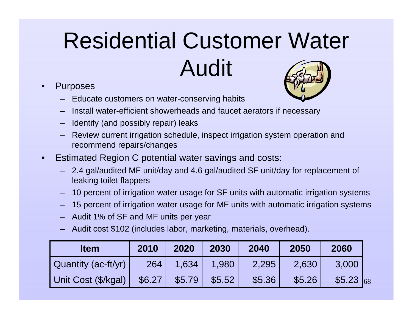# Residential Customer Water Audit

- • Purposes
	- Educate customers on water-conserving habits



- Identify (and possibly repair) leaks
- Review current irrigation schedule, inspect irrigation system operation and recommend repairs/changes
- • Estimated Region C potential water savings and costs:
	- 2.4 gal/audited MF unit/day and 4.6 gal/audited SF unit/day for replacement of leaking toilet flappers
	- 10 percent of irrigation water usage for SF units with automatic irrigation systems
	- 15 percent of irrigation water usage for MF units with automatic irrigation systems
	- Audit 1% of SF and MF units per year
	- Audit cost \$102 (includes labor, marketing, materials, overhead).

| <b>Item</b>         | 2010   | 2020   | 2030   | 2040   | 2050   | 2060      |
|---------------------|--------|--------|--------|--------|--------|-----------|
| Quantity (ac-ft/yr) | 264    | 1.634  | 1.980  | 2,295  | 2,630  | 3,000     |
| Unit Cost (\$/kgal) | \$6.27 | \$5.79 | \$5.52 | \$5.36 | \$5.26 | \$5.23 68 |

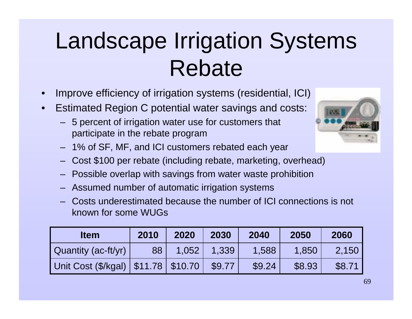## Landscape Irrigation Systems Rebate

- •Improve efficiency of irrigation systems (residential, ICI)
- • Estimated Region C potential water savings and costs:
	- 5 percent of irrigation water use for customers that participate in the rebate program



- 1% of SF, MF, and ICI customers rebated each year
- –Cost \$100 per rebate (including rebate, marketing, overhead)
- Possible overlap with savings from water waste prohibition
- Assumed number of automatic irrigation systems
- Costs underestimated because the number of ICI connections is not known for some WUGs

| <b>Item</b>                             | 2010 | 2020  | 2030   | 2040   | 2050   | 2060   |
|-----------------------------------------|------|-------|--------|--------|--------|--------|
| Quantity (ac-ft/yr)                     | 88   | 1,052 | 1,339  | 1,588  | 1.850  | 2.150  |
| Unit Cost (\$/kgal)   \$11.78   \$10.70 |      |       | \$9.77 | \$9.24 | \$8.93 | \$8.71 |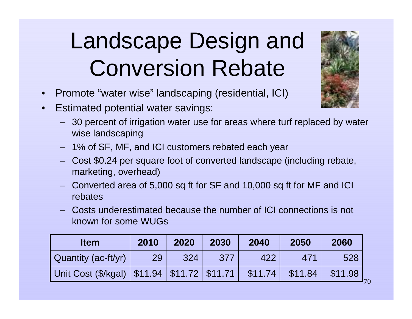## Landscape Design and Conversion Rebate

- •Promote "water wise" landscaping (residential, ICI)
- • Estimated potential water savings:
	- 30 percent of irrigation water use for areas where turf replaced by water wise landscaping
	- 1% of SF, MF, and ICI customers rebated each year
	- – Cost \$0.24 per square foot of converted landscape (including rebate, marketing, overhead)
	- Converted area of 5,000 sq ft for SF and 10,000 sq ft for MF and ICI rebates
	- Costs underestimated because the number of ICI connections is not known for some WUGs

| <b>Item</b>                                       | 2010 | 2020 | 2030 | 2040    | 2050            | 2060                      |
|---------------------------------------------------|------|------|------|---------|-----------------|---------------------------|
| Quantity (ac-ft/yr)                               | 29   | 324  | 377  | 422     | 47 <sup>1</sup> | 528                       |
| Unit Cost (\$/kgal)   \$11.94   \$11.72   \$11.71 |      |      |      | \$11.74 | \$11.84         | \$11.98<br><sup>170</sup> |

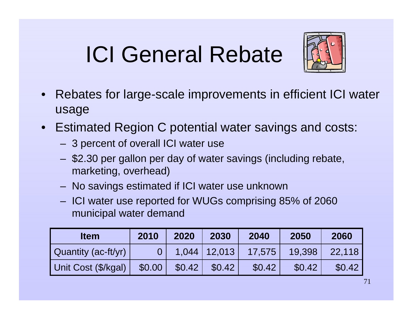## ICI General Rebate



- $\bullet$  Rebates for large-scale improvements in efficient ICI water usage
- • Estimated Region C potential water savings and costs:
	- 3 percent of overall ICI water use
	- \$2.30 per gallon per day of water savings (including rebate, marketing, overhead)
	- No savings estimated if ICI water use unknown
	- ICI water use reported for WUGs comprising 85% of 2060 municipal water demand

| <b>Item</b>                | 2010   | 2020   | 2030             | 2040   | 2050   | 2060   |
|----------------------------|--------|--------|------------------|--------|--------|--------|
| <b>Quantity (ac-ft/yr)</b> |        |        | $1,044$   12,013 | 17,575 | 19,398 | 22,118 |
| Unit Cost (\$/kgal)        | \$0.00 | \$0.42 | \$0.42           | \$0.42 | \$0.42 | \$0.42 |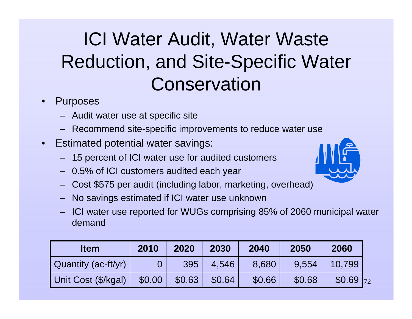#### ICI Water Audit, Water Waste Reduction, and Site-Specific Water **Conservation**

- • Purposes
	- Audit water use at specific site
	- Recommend site-specific improvements to reduce water use
- • Estimated potential water savings:
	- 15 percent of ICI water use for audited customers
	- 0.5% of ICI customers audited each year
	- –Cost \$575 per audit (including labor, marketing, overhead)
	- No savings estimated if ICI water use unknown
	- ICI water use reported for WUGs comprising 85% of 2060 municipal water demand

| <b>Item</b>         | 2010   | 2020   | 2030   | 2040   | 2050   | 2060       |
|---------------------|--------|--------|--------|--------|--------|------------|
| Quantity (ac-ft/yr) |        | 395    | 4.546  | 8,680  | 9.554  | 10.799     |
| Unit Cost (\$/kgal) | \$0.00 | \$0.63 | \$0.64 | \$0.66 | \$0.68 | $$0.69$ 72 |

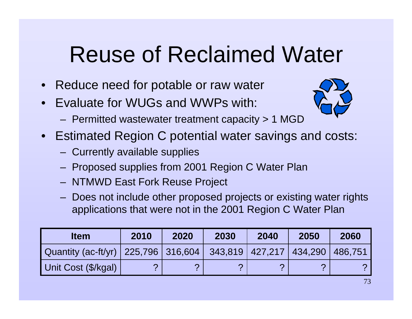# Reuse of Reclaimed Water

- $\bullet$ Reduce need for potable or raw water
- •Evaluate for WUGs and WWPs with:



- Permitted wastewater treatment capacity > 1 MGD
- • Estimated Region C potential water savings and costs:
	- Currently available supplies
	- Proposed supplies from 2001 Region C Water Plan
	- NTMWD East Fork Reuse Project
	- Does not include other proposed projects or existing water rights applications that were not in the 2001 Region C Water Plan

| <b>Item</b>                                                         | 2010 | 2020 | 2030 | 2040 | 2050 | 2060 |
|---------------------------------------------------------------------|------|------|------|------|------|------|
| Quantity (ac-ft/yr) 225,796 316,604 343,819 427,217 434,290 486,751 |      |      |      |      |      |      |
| Unit Cost (\$/kgal)                                                 |      |      |      |      |      |      |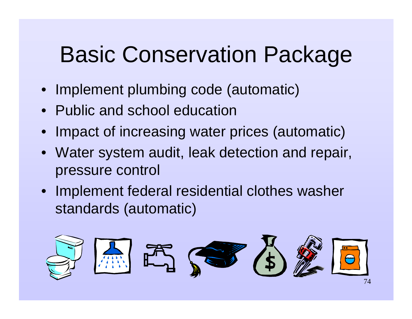# Basic Conservation Package

- Implement plumbing code (automatic)
- Public and school education
- •Impact of increasing water prices (automatic)
- • Water system audit, leak detection and repair, pressure control
- Implement federal residential clothes washer standards (automatic)

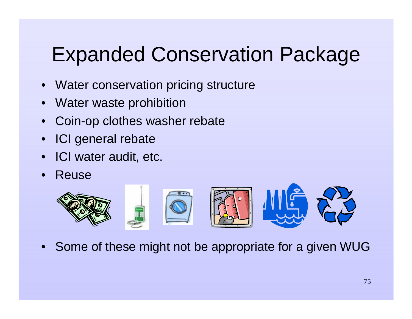#### Expanded Conservation Package

- $\bullet$ Water conservation pricing structure
- •Water waste prohibition
- $\bullet$ Coin-op clothes washer rebate
- •ICI general rebate
- $\bullet$ ICI water audit, etc.
- $\bullet$ Reuse



 $\bullet$ Some of these might not be appropriate for a given WUG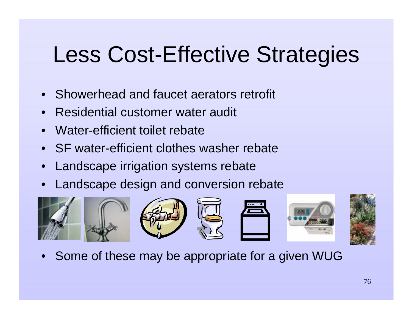# Less Cost-Effective Strategies

- $\bullet$ Showerhead and faucet aerators retrofit
- •Residential customer water audit
- $\bullet$ Water-efficient toilet rebate
- $\bullet$ SF water-efficient clothes washer rebate
- $\bullet$ Landscape irrigation systems rebate
- $\bullet$ Landscape design and conversion rebate



 $\bullet$ Some of these may be appropriate for a given WUG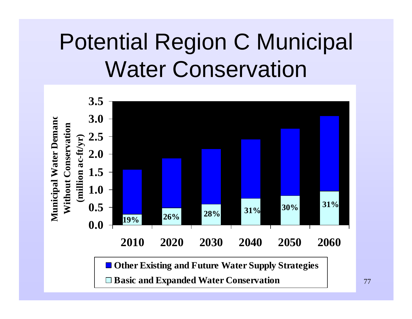# Potential Region C Municipal Water Conservation



**Basic and Expanded Water Conservation**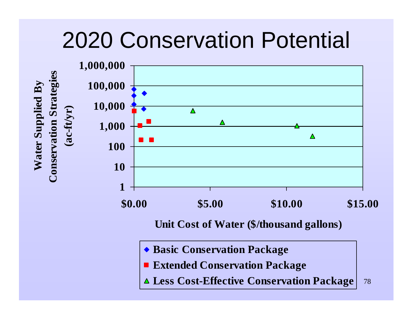## 2020 Conservation Potential



- **Extended Conservation Package**
- 78**Less Cost-Effective Conservation Package**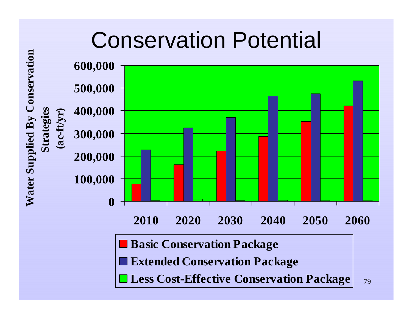# Conservation Potential

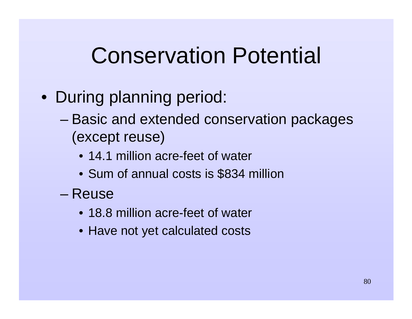# Conservation Potential

- During planning period:
	- – Basic and extended conservation packages (except reuse)
		- 14.1 million acre-feet of water
		- Sum of annual costs is \$834 million
	- Reuse
		- 18.8 million acre-feet of water
		- Have not yet calculated costs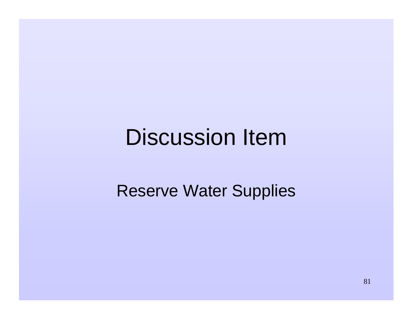#### Discussion Item

#### Reserve Water Supplies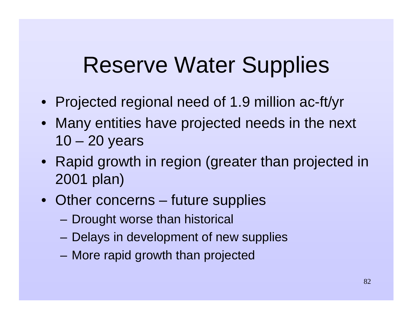## Reserve Water Supplies

- Projected regional need of 1.9 million ac-ft/yr
- Many entities have projected needs in the next 10 – 20 years
- Rapid growth in region (greater than projected in 2001 plan)
- Other concerns future supplies
	- Drought worse than historical
	- Delays in development of new supplies
	- More rapid growth than projected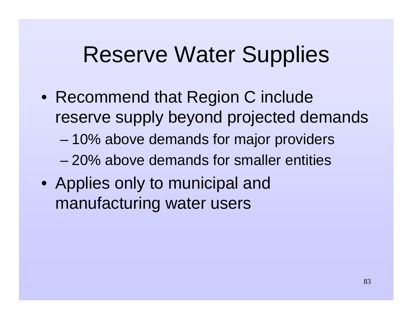#### Reserve Water Supplies

- Recommend that Region C include reserve supply beyond projected demands
	- –10% above demands for major providers
	- 20% above demands for smaller entities
- Applies only to municipal and manufacturing water users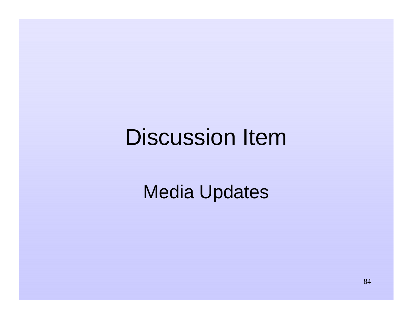#### Discussion Item

Media Updates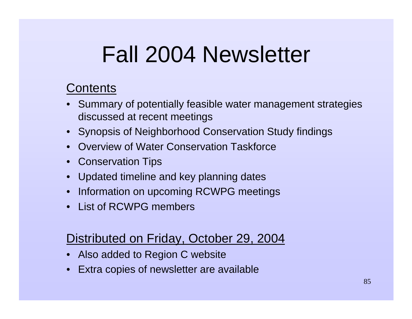# Fall 2004 Newsletter

#### Contents

- Summary of potentially feasible water management strategies discussed at recent meetings
- Synopsis of Neighborhood Conservation Study findings
- •Overview of Water Conservation Taskforce
- Conservation Tips
- Updated timeline and key planning dates
- •Information on upcoming RCWPG meetings
- List of RCWPG members

#### Distributed on Friday, October 29, 2004

- Also added to Region C website
- •Extra copies of newsletter are available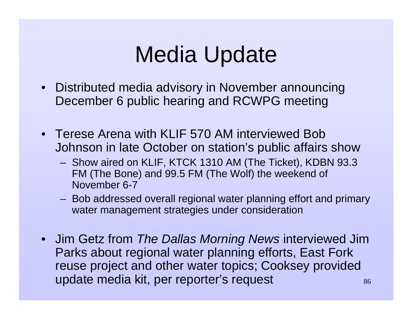# Media Update

- Distributed media advisory in November announcing December 6 public hearing and RCWPG meeting
- Terese Arena with KLIF 570 AM interviewed Bob Johnson in late October on station's public affairs show
	- Show aired on KLIF, KTCK 1310 AM (The Ticket), KDBN 93.3 FM (The Bone) and 99.5 FM (The Wolf) the weekend of November 6-7
	- Bob addressed overall regional water planning effort and primary water management strategies under consideration
- 86• Jim Getz from The Dallas Morning News interviewed Jim Parks about regional water planning efforts, East Fork reuse project and other water topics; Cooksey provided update media kit, per reporter's request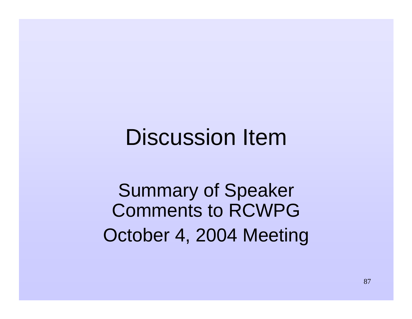#### Discussion Item

Summary of Speaker Comments to RCWPG October 4, 2004 Meeting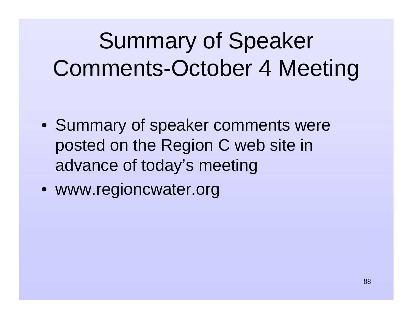# Summary of Speaker Comments-October 4 Meeting

- Summary of speaker comments were posted on the Region C web site in advance of today's meeting
- www.regioncwater.org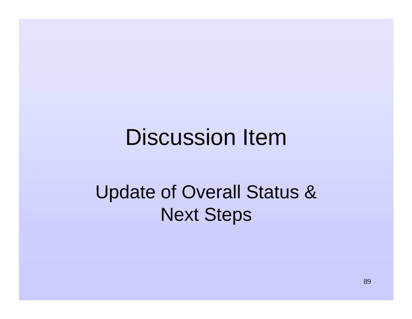#### Discussion Item

#### Update of Overall Status & Next Steps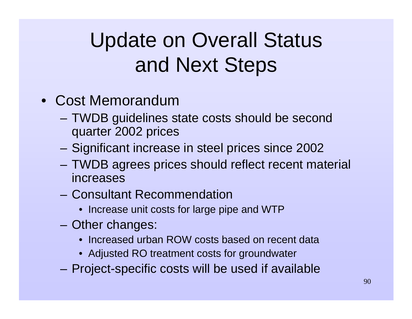## Update on Overall Status and Next Steps

- Cost Memorandum
	- – TWDB guidelines state costs should be second quarter 2002 prices
	- Significant increase in steel prices since 2002
	- TWDB agrees prices should reflect recent material increases
	- Consultant Recommendation
		- Increase unit costs for large pipe and WTP
	- Other changes:
		- Increased urban ROW costs based on recent data
		- Adjusted RO treatment costs for groundwater
	- Project-specific costs will be used if available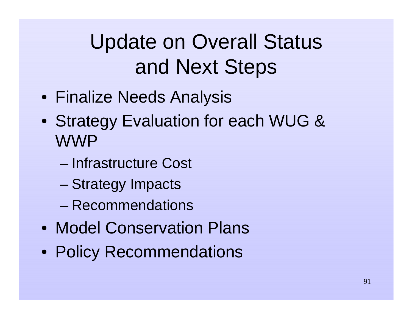## Update on Overall Status and Next Steps

- Finalize Needs Analysis
- Strategy Evaluation for each WUG & WWP
	- Infrastructure Cost
	- Strategy Impacts
	- Recommendations
- Model Conservation Plans
- Policy Recommendations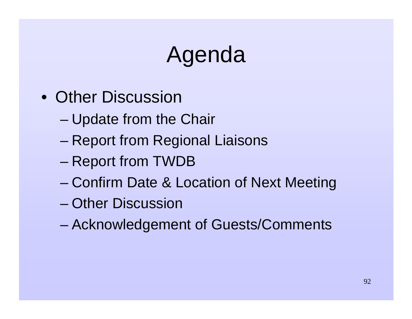# Agenda

- Other Discussion
	- –Update from the Chair
	- –Report from Regional Liaisons
	- –Report from TWDB
	- –Confirm Date & Location of Next Meeting
	- Other Discussion
	- –Acknowledgement of Guests/Comments